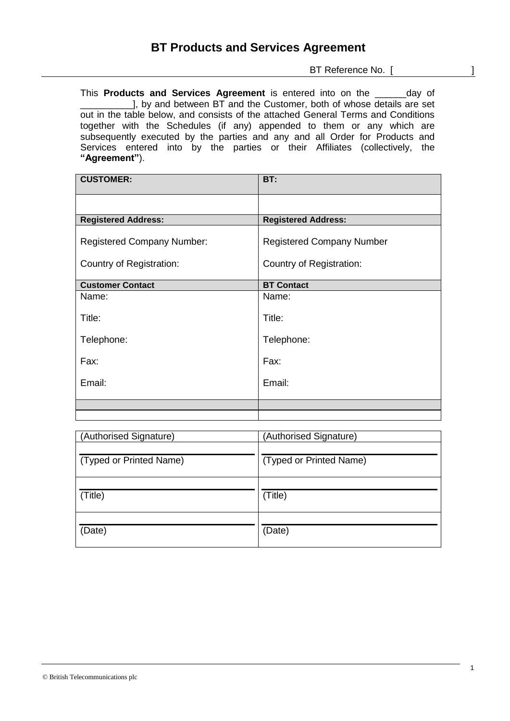BT Reference No. [ ]

This **Products and Services Agreement** is entered into on the and day of 1, by and between BT and the Customer, both of whose details are set out in the table below, and consists of the attached General Terms and Conditions together with the Schedules (if any) appended to them or any which are subsequently executed by the parties and any and all Order for Products and Services entered into by the parties or their Affiliates (collectively, the **"Agreement"**).

| <b>CUSTOMER:</b>                  | BT:                              |
|-----------------------------------|----------------------------------|
|                                   |                                  |
| <b>Registered Address:</b>        | <b>Registered Address:</b>       |
| <b>Registered Company Number:</b> | <b>Registered Company Number</b> |
| Country of Registration:          | Country of Registration:         |
| <b>Customer Contact</b>           | <b>BT Contact</b>                |
| Name:                             | Name:                            |
| Title:                            | Title:                           |
| Telephone:                        | Telephone:                       |
| Fax:                              | Fax:                             |
| Email:                            | Email:                           |
|                                   |                                  |
|                                   |                                  |

| (Authorised Signature)  | (Authorised Signature)  |
|-------------------------|-------------------------|
| (Typed or Printed Name) | (Typed or Printed Name) |
| (Title)                 | (Title)                 |
| (Date)                  | (Date)                  |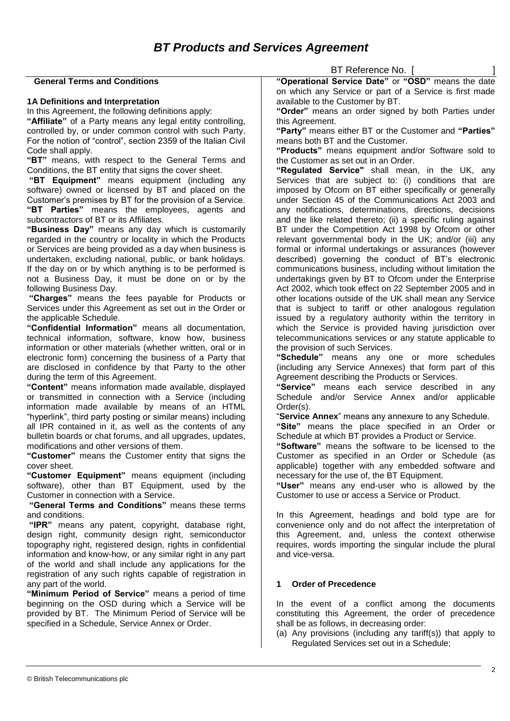|                                                                                                                         | BT Reference No. [                                                                                                       |
|-------------------------------------------------------------------------------------------------------------------------|--------------------------------------------------------------------------------------------------------------------------|
| <b>General Terms and Conditions</b>                                                                                     | "Operational Service Date" or "OSD" means the date                                                                       |
| 1A Definitions and Interpretation                                                                                       | on which any Service or part of a Service is first made<br>available to the Customer by BT.                              |
| In this Agreement, the following definitions apply:                                                                     | "Order" means an order signed by both Parties under                                                                      |
| "Affiliate" of a Party means any legal entity controlling,                                                              | this Agreement.                                                                                                          |
| controlled by, or under common control with such Party.                                                                 | "Party" means either BT or the Customer and "Parties"                                                                    |
| For the notion of "control", section 2359 of the Italian Civil                                                          | means both BT and the Customer.                                                                                          |
| Code shall apply.                                                                                                       | "Products" means equipment and/or Software sold to                                                                       |
| "BT" means, with respect to the General Terms and                                                                       | the Customer as set out in an Order.                                                                                     |
| Conditions, the BT entity that signs the cover sheet.                                                                   | "Regulated Service" shall mean, in the UK, any                                                                           |
| "BT Equipment" means equipment (including any                                                                           | Services that are subject to: (i) conditions that are                                                                    |
| software) owned or licensed by BT and placed on the                                                                     | imposed by Ofcom on BT either specifically or generally                                                                  |
| Customer's premises by BT for the provision of a Service.                                                               | under Section 45 of the Communications Act 2003 and                                                                      |
| "BT Parties" means the employees, agents and<br>subcontractors of BT or its Affiliates.                                 | any notifications, determinations, directions, decisions<br>and the like related thereto; (ii) a specific ruling against |
| "Business Day" means any day which is customarily                                                                       | BT under the Competition Act 1998 by Ofcom or other                                                                      |
| regarded in the country or locality in which the Products                                                               | relevant governmental body in the UK; and/or (iii) any                                                                   |
| or Services are being provided as a day when business is                                                                | formal or informal undertakings or assurances (however                                                                   |
| undertaken, excluding national, public, or bank holidays.                                                               | described) governing the conduct of BT's electronic                                                                      |
| If the day on or by which anything is to be performed is                                                                | communications business, including without limitation the                                                                |
| not a Business Day, it must be done on or by the                                                                        | undertakings given by BT to Ofcom under the Enterprise                                                                   |
| following Business Day.                                                                                                 | Act 2002, which took effect on 22 September 2005 and in                                                                  |
| "Charges" means the fees payable for Products or                                                                        | other locations outside of the UK shall mean any Service                                                                 |
| Services under this Agreement as set out in the Order or                                                                | that is subject to tariff or other analogous regulation                                                                  |
| the applicable Schedule.<br>"Confidential Information" means all documentation,                                         | issued by a regulatory authority within the territory in<br>which the Service is provided having jurisdiction over       |
| technical information, software, know how, business                                                                     | telecommunications services or any statute applicable to                                                                 |
| information or other materials (whether written, oral or in                                                             | the provision of such Services.                                                                                          |
| electronic form) concerning the business of a Party that                                                                | "Schedule" means any one or more schedules                                                                               |
| are disclosed in confidence by that Party to the other                                                                  | (including any Service Annexes) that form part of this                                                                   |
| during the term of this Agreement.                                                                                      | Agreement describing the Products or Services.                                                                           |
| "Content" means information made available, displayed                                                                   | "Service"<br>means each service described in any                                                                         |
| or transmitted in connection with a Service (including                                                                  | Schedule<br>and/or Service Annex and/or applicable                                                                       |
| information made available by means of an HTML                                                                          | $Order(s)$ .                                                                                                             |
| "hyperlink", third party posting or similar means) including<br>all IPR contained in it, as well as the contents of any | "Service Annex" means any annexure to any Schedule.<br>"Site" means the place specified in an Order or                   |
| bulletin boards or chat forums, and all upgrades, updates,                                                              | Schedule at which BT provides a Product or Service.                                                                      |
| modifications and other versions of them.                                                                               | "Software" means the software to be licensed to the                                                                      |
| "Customer" means the Customer entity that signs the                                                                     | Customer as specified in an Order or Schedule (as                                                                        |
| cover sheet.                                                                                                            | applicable) together with any embedded software and                                                                      |
| "Customer Equipment" means equipment (including                                                                         | necessary for the use of, the BT Equipment.                                                                              |
| software), other than BT Equipment, used by the                                                                         | "User" means any end-user who is allowed by the                                                                          |
| Customer in connection with a Service.                                                                                  | Customer to use or access a Service or Product.                                                                          |
| "General Terms and Conditions" means these terms                                                                        |                                                                                                                          |
| and conditions.<br>"IPR" means any patent, copyright, database right,                                                   | In this Agreement, headings and bold type are for<br>convenience only and do not affect the interpretation of            |
| design right, community design right, semiconductor                                                                     | this Agreement, and, unless the context otherwise                                                                        |
| topography right, registered design, rights in confidential                                                             | requires, words importing the singular include the plural                                                                |
| information and know-how, or any similar right in any part                                                              | and vice-versa.                                                                                                          |
| of the world and shall include any applications for the                                                                 |                                                                                                                          |
| registration of any such rights capable of registration in                                                              |                                                                                                                          |
| any part of the world.                                                                                                  | <b>Order of Precedence</b><br>1                                                                                          |
| "Minimum Period of Service" means a period of time                                                                      |                                                                                                                          |
| beginning on the OSD during which a Service will be                                                                     | In the event of a conflict among the documents                                                                           |
| provided by BT. The Minimum Period of Service will be                                                                   | constituting this Agreement, the order of precedence                                                                     |
| specified in a Schedule, Service Annex or Order.                                                                        | shall be as follows, in decreasing order:<br>(a) Any provisions (including any tariff(s)) that apply to                  |
|                                                                                                                         | Regulated Services set out in a Schedule;                                                                                |
|                                                                                                                         |                                                                                                                          |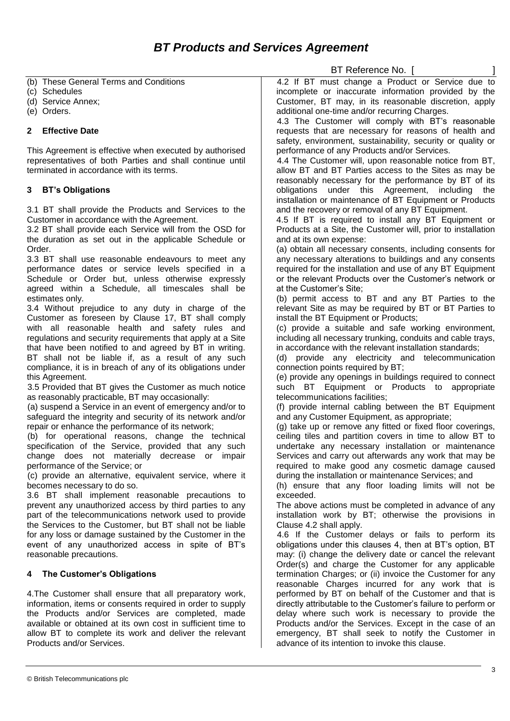|                                                                                                                       | BT Reference No. [                                                                                                  |
|-----------------------------------------------------------------------------------------------------------------------|---------------------------------------------------------------------------------------------------------------------|
| (b) These General Terms and Conditions                                                                                | 4.2 If BT must change a Product or Service due to                                                                   |
| (c) Schedules                                                                                                         | incomplete or inaccurate information provided by the                                                                |
| (d) Service Annex;                                                                                                    | Customer, BT may, in its reasonable discretion, apply                                                               |
| (e) Orders.                                                                                                           | additional one-time and/or recurring Charges.                                                                       |
|                                                                                                                       | 4.3 The Customer will comply with BT's reasonable                                                                   |
| <b>Effective Date</b><br>2                                                                                            | requests that are necessary for reasons of health and                                                               |
|                                                                                                                       | safety, environment, sustainability, security or quality or                                                         |
| This Agreement is effective when executed by authorised                                                               | performance of any Products and/or Services.                                                                        |
| representatives of both Parties and shall continue until<br>terminated in accordance with its terms.                  | 4.4 The Customer will, upon reasonable notice from BT,                                                              |
|                                                                                                                       | allow BT and BT Parties access to the Sites as may be<br>reasonably necessary for the performance by BT of its      |
| <b>BT's Obligations</b><br>3                                                                                          | obligations under this Agreement, including<br>the                                                                  |
|                                                                                                                       | installation or maintenance of BT Equipment or Products                                                             |
| 3.1 BT shall provide the Products and Services to the                                                                 | and the recovery or removal of any BT Equipment.                                                                    |
| Customer in accordance with the Agreement.                                                                            | 4.5 If BT is required to install any BT Equipment or                                                                |
| 3.2 BT shall provide each Service will from the OSD for                                                               | Products at a Site, the Customer will, prior to installation                                                        |
| the duration as set out in the applicable Schedule or                                                                 | and at its own expense:                                                                                             |
| Order.                                                                                                                | (a) obtain all necessary consents, including consents for                                                           |
| 3.3 BT shall use reasonable endeavours to meet any                                                                    | any necessary alterations to buildings and any consents                                                             |
| performance dates or service levels specified in a                                                                    | required for the installation and use of any BT Equipment                                                           |
| Schedule or Order but, unless otherwise expressly                                                                     | or the relevant Products over the Customer's network or                                                             |
| agreed within a Schedule, all timescales shall be                                                                     | at the Customer's Site;                                                                                             |
| estimates only.                                                                                                       | (b) permit access to BT and any BT Parties to the                                                                   |
| 3.4 Without prejudice to any duty in charge of the                                                                    | relevant Site as may be required by BT or BT Parties to                                                             |
| Customer as foreseen by Clause 17, BT shall comply                                                                    | install the BT Equipment or Products;                                                                               |
| with all reasonable health and safety rules and<br>regulations and security requirements that apply at a Site         | (c) provide a suitable and safe working environment,<br>including all necessary trunking, conduits and cable trays, |
| that have been notified to and agreed by BT in writing.                                                               | in accordance with the relevant installation standards;                                                             |
| BT shall not be liable if, as a result of any such                                                                    | (d) provide any electricity and telecommunication                                                                   |
| compliance, it is in breach of any of its obligations under                                                           | connection points required by BT;                                                                                   |
| this Agreement.                                                                                                       | (e) provide any openings in buildings required to connect                                                           |
| 3.5 Provided that BT gives the Customer as much notice                                                                | such BT Equipment or Products to appropriate                                                                        |
| as reasonably practicable, BT may occasionally:                                                                       | telecommunications facilities;                                                                                      |
| (a) suspend a Service in an event of emergency and/or to                                                              | (f) provide internal cabling between the BT Equipment                                                               |
| safeguard the integrity and security of its network and/or                                                            | and any Customer Equipment, as appropriate;                                                                         |
| repair or enhance the performance of its network;                                                                     | (g) take up or remove any fitted or fixed floor coverings,                                                          |
| (b) for operational reasons, change the technical                                                                     | ceiling tiles and partition covers in time to allow BT to                                                           |
| specification of the Service, provided that any such                                                                  | undertake any necessary installation or maintenance                                                                 |
| change does not materially decrease or impair                                                                         | Services and carry out afterwards any work that may be                                                              |
| performance of the Service; or                                                                                        | required to make good any cosmetic damage caused                                                                    |
| (c) provide an alternative, equivalent service, where it<br>becomes necessary to do so.                               | during the installation or maintenance Services; and<br>(h) ensure that any floor loading limits will not be        |
| 3.6 BT shall implement reasonable precautions to                                                                      | exceeded.                                                                                                           |
| prevent any unauthorized access by third parties to any                                                               | The above actions must be completed in advance of any                                                               |
| part of the telecommunications network used to provide                                                                | installation work by BT; otherwise the provisions in                                                                |
| the Services to the Customer, but BT shall not be liable                                                              | Clause 4.2 shall apply.                                                                                             |
| for any loss or damage sustained by the Customer in the                                                               | 4.6 If the Customer delays or fails to perform its                                                                  |
| event of any unauthorized access in spite of BT's                                                                     | obligations under this clauses 4, then at BT's option, BT                                                           |
| reasonable precautions.                                                                                               | may: (i) change the delivery date or cancel the relevant                                                            |
|                                                                                                                       | Order(s) and charge the Customer for any applicable                                                                 |
| The Customer's Obligations<br>4                                                                                       | termination Charges; or (ii) invoice the Customer for any                                                           |
|                                                                                                                       | reasonable Charges incurred for any work that is                                                                    |
| 4. The Customer shall ensure that all preparatory work,                                                               | performed by BT on behalf of the Customer and that is                                                               |
| information, items or consents required in order to supply                                                            | directly attributable to the Customer's failure to perform or                                                       |
| the Products and/or Services are completed, made                                                                      | delay where such work is necessary to provide the                                                                   |
| available or obtained at its own cost in sufficient time to<br>allow BT to complete its work and deliver the relevant | Products and/or the Services. Except in the case of an<br>emergency, BT shall seek to notify the Customer in        |
| Products and/or Services.                                                                                             | advance of its intention to invoke this clause.                                                                     |
|                                                                                                                       |                                                                                                                     |
|                                                                                                                       |                                                                                                                     |
|                                                                                                                       | 3                                                                                                                   |
| © British Telecommunications plc                                                                                      |                                                                                                                     |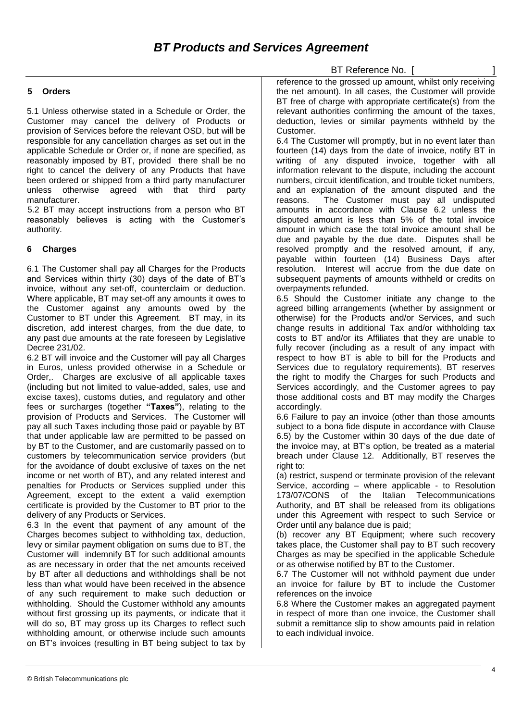# BT Reference No. [

#### **5 Orders**

5.1 Unless otherwise stated in a Schedule or Order, the Customer may cancel the delivery of Products or provision of Services before the relevant OSD, but will be responsible for any cancellation charges as set out in the applicable Schedule or Order or, if none are specified, as reasonably imposed by BT, provided there shall be no right to cancel the delivery of any Products that have been ordered or shipped from a third party manufacturer unless otherwise agreed with that third party manufacturer.

5.2 BT may accept instructions from a person who BT reasonably believes is acting with the Customer's authority.

## **6 Charges**

6.1 The Customer shall pay all Charges for the Products and Services within thirty (30) days of the date of BT's invoice, without any set-off, counterclaim or deduction. Where applicable, BT may set-off any amounts it owes to the Customer against any amounts owed by the Customer to BT under this Agreement. BT may, in its discretion, add interest charges, from the due date, to any past due amounts at the rate foreseen by Legislative Decree 231/02.

6.2 BT will invoice and the Customer will pay all Charges in Euros, unless provided otherwise in a Schedule or Order,. Charges are exclusive of all applicable taxes (including but not limited to value-added, sales, use and excise taxes), customs duties, and regulatory and other fees or surcharges (together **"Taxes"**), relating to the provision of Products and Services. The Customer will pay all such Taxes including those paid or payable by BT that under applicable law are permitted to be passed on by BT to the Customer, and are customarily passed on to customers by telecommunication service providers (but for the avoidance of doubt exclusive of taxes on the net income or net worth of BT), and any related interest and penalties for Products or Services supplied under this Agreement, except to the extent a valid exemption certificate is provided by the Customer to BT prior to the delivery of any Products or Services.

6.3 In the event that payment of any amount of the Charges becomes subject to withholding tax, deduction, levy or similar payment obligation on sums due to BT, the Customer will indemnify BT for such additional amounts as are necessary in order that the net amounts received by BT after all deductions and withholdings shall be not less than what would have been received in the absence of any such requirement to make such deduction or withholding. Should the Customer withhold any amounts without first grossing up its payments, or indicate that it will do so, BT may gross up its Charges to reflect such withholding amount, or otherwise include such amounts on BT's invoices (resulting in BT being subject to tax by

reference to the grossed up amount, whilst only receiving the net amount). In all cases, the Customer will provide BT free of charge with appropriate certificate(s) from the relevant authorities confirming the amount of the taxes, deduction, levies or similar payments withheld by the Customer.

6.4 The Customer will promptly, but in no event later than fourteen (14) days from the date of invoice, notify BT in writing of any disputed invoice, together with all information relevant to the dispute, including the account numbers, circuit identification, and trouble ticket numbers, and an explanation of the amount disputed and the reasons. The Customer must pay all undisputed amounts in accordance with Clause 6.2 unless the disputed amount is less than 5% of the total invoice amount in which case the total invoice amount shall be due and payable by the due date. Disputes shall be resolved promptly and the resolved amount, if any, payable within fourteen (14) Business Days after resolution. Interest will accrue from the due date on subsequent payments of amounts withheld or credits on overpayments refunded.

6.5 Should the Customer initiate any change to the agreed billing arrangements (whether by assignment or otherwise) for the Products and/or Services, and such change results in additional Tax and/or withholding tax costs to BT and/or its Affiliates that they are unable to fully recover (including as a result of any impact with respect to how BT is able to bill for the Products and Services due to regulatory requirements), BT reserves the right to modify the Charges for such Products and Services accordingly, and the Customer agrees to pay those additional costs and BT may modify the Charges accordingly.

6.6 Failure to pay an invoice (other than those amounts subject to a bona fide dispute in accordance with Clause 6.5) by the Customer within 30 days of the due date of the invoice may, at BT's option, be treated as a material breach under Clause 12. Additionally, BT reserves the right to:

(a) restrict, suspend or terminate provision of the relevant Service, according – where applicable - to Resolution 173/07/CONS of the Italian Telecommunications Authority, and BT shall be released from its obligations under this Agreement with respect to such Service or Order until any balance due is paid;

(b) recover any BT Equipment; where such recovery takes place, the Customer shall pay to BT such recovery Charges as may be specified in the applicable Schedule or as otherwise notified by BT to the Customer.

6.7 The Customer will not withhold payment due under an invoice for failure by BT to include the Customer references on the invoice

6.8 Where the Customer makes an aggregated payment in respect of more than one invoice, the Customer shall submit a remittance slip to show amounts paid in relation to each individual invoice.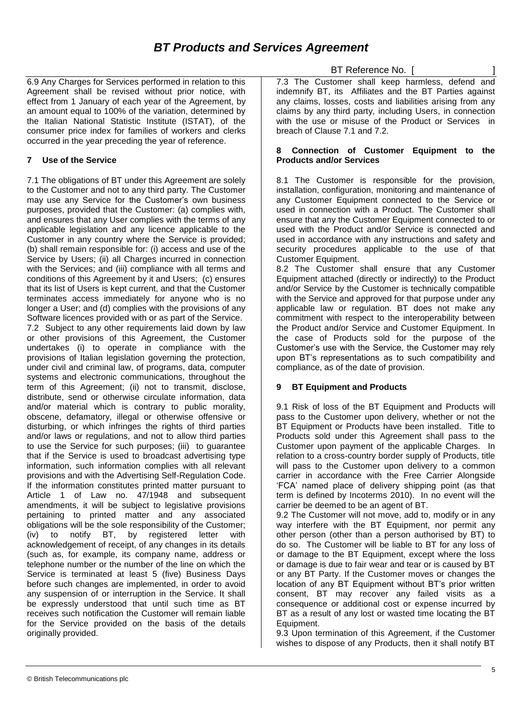# *BT Products and Services Agreement*

6.9 Any Charges for Services performed in relation to this Agreement shall be revised without prior notice, with effect from 1 January of each year of the Agreement, by an amount equal to 100% of the variation, determined by the Italian National Statistic Institute (ISTAT), of the consumer price index for families of workers and clerks occurred in the year preceding the year of reference.

## **7 Use of the Service**

7.1 The obligations of BT under this Agreement are solely to the Customer and not to any third party. The Customer may use any Service for the Customer's own business purposes, provided that the Customer: (a) complies with, and ensures that any User complies with the terms of any applicable legislation and any licence applicable to the Customer in any country where the Service is provided; (b) shall remain responsible for: (i) access and use of the Service by Users; (ii) all Charges incurred in connection with the Services: and (iii) compliance with all terms and conditions of this Agreement by it and Users; (c) ensures that its list of Users is kept current, and that the Customer terminates access immediately for anyone who is no longer a User; and (d) complies with the provisions of any Software licences provided with or as part of the Service. 7.2 Subject to any other requirements laid down by law or other provisions of this Agreement, the Customer undertakes (i) to operate in compliance with the provisions of Italian legislation governing the protection, under civil and criminal law, of programs, data, computer systems and electronic communications, throughout the term of this Agreement; (ii) not to transmit, disclose, distribute, send or otherwise circulate information, data and/or material which is contrary to public morality, obscene, defamatory, illegal or otherwise offensive or disturbing, or which infringes the rights of third parties and/or laws or regulations, and not to allow third parties to use the Service for such purposes; (iii) to guarantee that if the Service is used to broadcast advertising type information, such information complies with all relevant provisions and with the Advertising Self-Regulation Code. If the information constitutes printed matter pursuant to Article 1 of Law no. 47/1948 and subsequent amendments, it will be subject to legislative provisions pertaining to printed matter and any associated obligations will be the sole responsibility of the Customer; (iv) to notify BT, by registered letter with acknowledgement of receipt, of any changes in its details (such as, for example, its company name, address or telephone number or the number of the line on which the Service is terminated at least 5 (five) Business Days before such changes are implemented, in order to avoid any suspension of or interruption in the Service. It shall be expressly understood that until such time as BT receives such notification the Customer will remain liable for the Service provided on the basis of the details originally provided.

BT Reference No. [

7.3 The Customer shall keep harmless, defend and indemnify BT, its Affiliates and the BT Parties against any claims, losses, costs and liabilities arising from any claims by any third party, including Users, in connection with the use or misuse of the Product or Services in breach of Clause 7.1 and 7.2.

#### **8 Connection of Customer Equipment to the Products and/or Services**

8.1 The Customer is responsible for the provision, installation, configuration, monitoring and maintenance of any Customer Equipment connected to the Service or used in connection with a Product. The Customer shall ensure that any the Customer Equipment connected to or used with the Product and/or Service is connected and used in accordance with any instructions and safety and security procedures applicable to the use of that Customer Equipment.

8.2 The Customer shall ensure that any Customer Equipment attached (directly or indirectly) to the Product and/or Service by the Customer is technically compatible with the Service and approved for that purpose under any applicable law or regulation. BT does not make any commitment with respect to the interoperability between the Product and/or Service and Customer Equipment. In the case of Products sold for the purpose of the Customer's use with the Service, the Customer may rely upon BT's representations as to such compatibility and compliance, as of the date of provision.

# **9 BT Equipment and Products**

9.1 Risk of loss of the BT Equipment and Products will pass to the Customer upon delivery, whether or not the BT Equipment or Products have been installed. Title to Products sold under this Agreement shall pass to the Customer upon payment of the applicable Charges. In relation to a cross-country border supply of Products, title will pass to the Customer upon delivery to a common carrier in accordance with the Free Carrier Alongside 'FCA' named place of delivery shipping point (as that term is defined by Incoterms 2010). In no event will the carrier be deemed to be an agent of BT.

9.2 The Customer will not move, add to, modify or in any way interfere with the BT Equipment, nor permit any other person (other than a person authorised by BT) to do so. The Customer will be liable to BT for any loss of or damage to the BT Equipment, except where the loss or damage is due to fair wear and tear or is caused by BT or any BT Party. If the Customer moves or changes the location of any BT Equipment without BT's prior written consent, BT may recover any failed visits as a consequence or additional cost or expense incurred by BT as a result of any lost or wasted time locating the BT Equipment.

9.3 Upon termination of this Agreement, if the Customer wishes to dispose of any Products, then it shall notify BT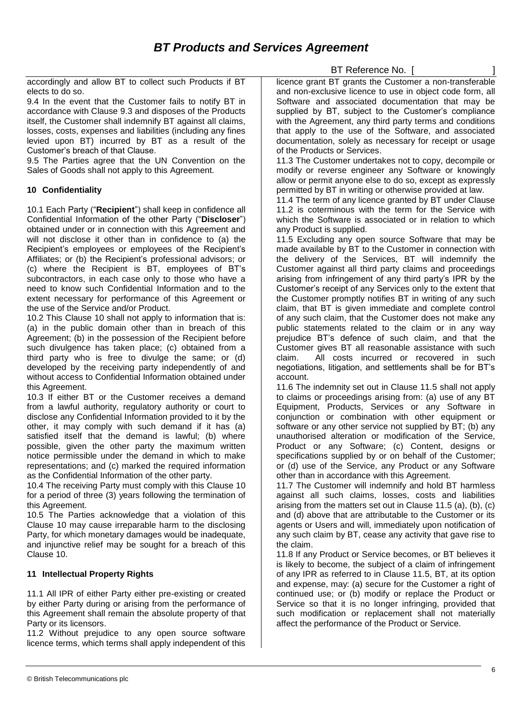accordingly and allow BT to collect such Products if BT elects to do so.

9.4 In the event that the Customer fails to notify BT in accordance with Clause 9.3 and disposes of the Products itself, the Customer shall indemnify BT against all claims, losses, costs, expenses and liabilities (including any fines levied upon BT) incurred by BT as a result of the Customer's breach of that Clause.

9.5 The Parties agree that the UN Convention on the Sales of Goods shall not apply to this Agreement.

# **10 Confidentiality**

10.1 Each Party ("**Recipient**") shall keep in confidence all Confidential Information of the other Party ("**Discloser**") obtained under or in connection with this Agreement and will not disclose it other than in confidence to (a) the Recipient's employees or employees of the Recipient's Affiliates; or (b) the Recipient's professional advisors; or (c) where the Recipient is BT, employees of BT's subcontractors, in each case only to those who have a need to know such Confidential Information and to the extent necessary for performance of this Agreement or the use of the Service and/or Product.

10.2 This Clause 10 shall not apply to information that is: (a) in the public domain other than in breach of this Agreement; (b) in the possession of the Recipient before such divulgence has taken place; (c) obtained from a third party who is free to divulge the same; or (d) developed by the receiving party independently of and without access to Confidential Information obtained under this Agreement.

10.3 If either BT or the Customer receives a demand from a lawful authority, regulatory authority or court to disclose any Confidential Information provided to it by the other, it may comply with such demand if it has (a) satisfied itself that the demand is lawful; (b) where possible, given the other party the maximum written notice permissible under the demand in which to make representations; and (c) marked the required information as the Confidential Information of the other party.

10.4 The receiving Party must comply with this Clause 10 for a period of three (3) years following the termination of this Agreement.

10.5 The Parties acknowledge that a violation of this Clause 10 may cause irreparable harm to the disclosing Party, for which monetary damages would be inadequate, and injunctive relief may be sought for a breach of this Clause 10.

# **11 Intellectual Property Rights**

11.1 All IPR of either Party either pre-existing or created by either Party during or arising from the performance of this Agreement shall remain the absolute property of that Party or its licensors.

11.2 Without prejudice to any open source software licence terms, which terms shall apply independent of this

BT Reference No. [

licence grant BT grants the Customer a non-transferable and non-exclusive licence to use in object code form, all Software and associated documentation that may be supplied by BT, subject to the Customer's compliance with the Agreement, any third party terms and conditions that apply to the use of the Software, and associated documentation, solely as necessary for receipt or usage of the Products or Services.

11.3 The Customer undertakes not to copy, decompile or modify or reverse engineer any Software or knowingly allow or permit anyone else to do so, except as expressly permitted by BT in writing or otherwise provided at law.

11.4 The term of any licence granted by BT under Clause 11.2 is coterminous with the term for the Service with which the Software is associated or in relation to which any Product is supplied.

11.5 Excluding any open source Software that may be made available by BT to the Customer in connection with the delivery of the Services, BT will indemnify the Customer against all third party claims and proceedings arising from infringement of any third party's IPR by the Customer's receipt of any Services only to the extent that the Customer promptly notifies BT in writing of any such claim, that BT is given immediate and complete control of any such claim, that the Customer does not make any public statements related to the claim or in any way prejudice BT's defence of such claim, and that the Customer gives BT all reasonable assistance with such claim. All costs incurred or recovered in such negotiations, litigation, and settlements shall be for BT's account.

11.6 The indemnity set out in Clause 11.5 shall not apply to claims or proceedings arising from: (a) use of any BT Equipment, Products, Services or any Software in conjunction or combination with other equipment or software or any other service not supplied by BT; (b) any unauthorised alteration or modification of the Service, Product or any Software; (c) Content, designs or specifications supplied by or on behalf of the Customer; or (d) use of the Service, any Product or any Software other than in accordance with this Agreement.

11.7 The Customer will indemnify and hold BT harmless against all such claims, losses, costs and liabilities arising from the matters set out in Clause 11.5 (a), (b), (c) and (d) above that are attributable to the Customer or its agents or Users and will, immediately upon notification of any such claim by BT, cease any activity that gave rise to the claim.

11.8 If any Product or Service becomes, or BT believes it is likely to become, the subject of a claim of infringement of any IPR as referred to in Clause 11.5, BT, at its option and expense, may: (a) secure for the Customer a right of continued use; or (b) modify or replace the Product or Service so that it is no longer infringing, provided that such modification or replacement shall not materially affect the performance of the Product or Service.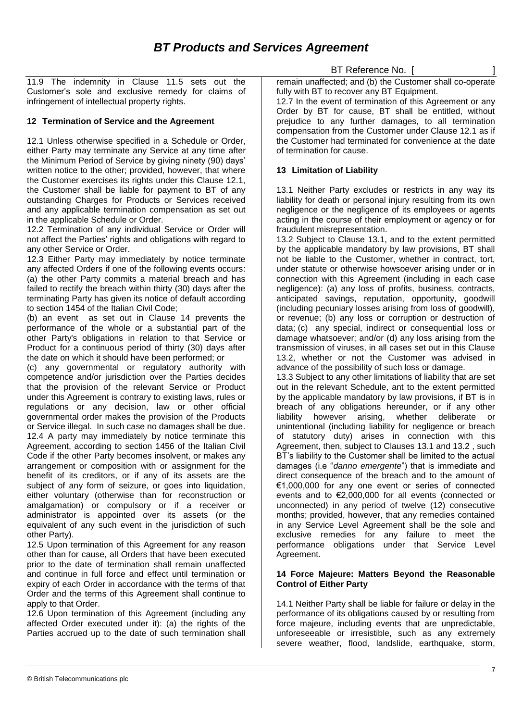11.9 The indemnity in Clause 11.5 sets out the Customer's sole and exclusive remedy for claims of infringement of intellectual property rights.

# **12 Termination of Service and the Agreement**

12.1 Unless otherwise specified in a Schedule or Order, either Party may terminate any Service at any time after the Minimum Period of Service by giving ninety (90) days' written notice to the other; provided, however, that where the Customer exercises its rights under this Clause 12.1, the Customer shall be liable for payment to BT of any outstanding Charges for Products or Services received and any applicable termination compensation as set out in the applicable Schedule or Order.

12.2 Termination of any individual Service or Order will not affect the Parties' rights and obligations with regard to any other Service or Order.

12.3 Either Party may immediately by notice terminate any affected Orders if one of the following events occurs: (a) the other Party commits a material breach and has failed to rectify the breach within thirty (30) days after the terminating Party has given its notice of default according to section 1454 of the Italian Civil Code;

(b) an event as set out in Clause 14 prevents the performance of the whole or a substantial part of the other Party's obligations in relation to that Service or Product for a continuous period of thirty (30) days after the date on which it should have been performed; or

(c) any governmental or regulatory authority with competence and/or jurisdiction over the Parties decides that the provision of the relevant Service or Product under this Agreement is contrary to existing laws, rules or regulations or any decision, law or other official governmental order makes the provision of the Products or Service illegal. In such case no damages shall be due. 12.4 A party may immediately by notice terminate this Agreement, according to section 1456 of the Italian Civil Code if the other Party becomes insolvent, or makes any arrangement or composition with or assignment for the benefit of its creditors, or if any of its assets are the subject of any form of seizure, or goes into liquidation, either voluntary (otherwise than for reconstruction or amalgamation) or compulsory or if a receiver or administrator is appointed over its assets (or the equivalent of any such event in the jurisdiction of such other Party).

12.5 Upon termination of this Agreement for any reason other than for cause, all Orders that have been executed prior to the date of termination shall remain unaffected and continue in full force and effect until termination or expiry of each Order in accordance with the terms of that Order and the terms of this Agreement shall continue to apply to that Order.

12.6 Upon termination of this Agreement (including any affected Order executed under it): (a) the rights of the Parties accrued up to the date of such termination shall BT Reference No. [

remain unaffected; and (b) the Customer shall co-operate fully with BT to recover any BT Equipment.

12.7 In the event of termination of this Agreement or any Order by BT for cause, BT shall be entitled, without prejudice to any further damages, to all termination compensation from the Customer under Clause 12.1 as if the Customer had terminated for convenience at the date of termination for cause.

# **13 Limitation of Liability**

13.1 Neither Party excludes or restricts in any way its liability for death or personal injury resulting from its own negligence or the negligence of its employees or agents acting in the course of their employment or agency or for fraudulent misrepresentation.

13.2 Subject to Clause 13.1, and to the extent permitted by the applicable mandatory by law provisions, BT shall not be liable to the Customer, whether in contract, tort, under statute or otherwise howsoever arising under or in connection with this Agreement (including in each case negligence): (a) any loss of profits, business, contracts, anticipated savings, reputation, opportunity, goodwill (including pecuniary losses arising from loss of goodwill), or revenue; (b) any loss or corruption or destruction of data; (c) any special, indirect or consequential loss or damage whatsoever; and/or (d) any loss arising from the transmission of viruses, in all cases set out in this Clause 13.2, whether or not the Customer was advised in advance of the possibility of such loss or damage.

13.3 Subject to any other limitations of liability that are set out in the relevant Schedule, ant to the extent permitted by the applicable mandatory by law provisions, if BT is in breach of any obligations hereunder, or if any other liability however arising, whether deliberate or unintentional (including liability for negligence or breach of statutory duty) arises in connection with this Agreement, then, subject to Clauses 13.1 and 13.2 , such BT's liability to the Customer shall be limited to the actual damages (i.e "*danno emergente*") that is immediate and direct consequence of the breach and to the amount of €1,000,000 for any one event or series of connected events and to €2,000,000 for all events (connected or unconnected) in any period of twelve (12) consecutive months; provided, however, that any remedies contained in any Service Level Agreement shall be the sole and exclusive remedies for any failure to meet the performance obligations under that Service Level Agreement.

## **14 Force Majeure: Matters Beyond the Reasonable Control of Either Party**

14.1 Neither Party shall be liable for failure or delay in the performance of its obligations caused by or resulting from force majeure, including events that are unpredictable, unforeseeable or irresistible, such as any extremely severe weather, flood, landslide, earthquake, storm,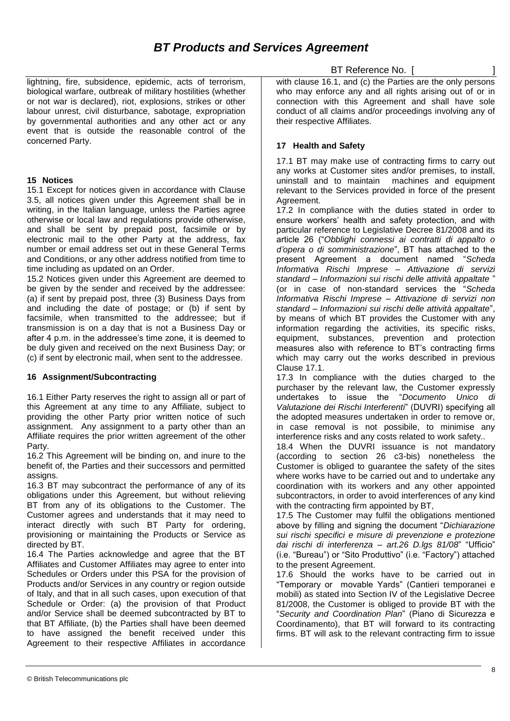lightning, fire, subsidence, epidemic, acts of terrorism, biological warfare, outbreak of military hostilities (whether or not war is declared), riot, explosions, strikes or other labour unrest, civil disturbance, sabotage, expropriation by governmental authorities and any other act or any event that is outside the reasonable control of the concerned Party.

## **15 Notices**

15.1 Except for notices given in accordance with Clause 3.5, all notices given under this Agreement shall be in writing, in the Italian language, unless the Parties agree otherwise or local law and regulations provide otherwise, and shall be sent by prepaid post, facsimile or by electronic mail to the other Party at the address, fax number or email address set out in these General Terms and Conditions, or any other address notified from time to time including as updated on an Order.

15.2 Notices given under this Agreement are deemed to be given by the sender and received by the addressee: (a) if sent by prepaid post, three (3) Business Days from and including the date of postage; or (b) if sent by facsimile, when transmitted to the addressee; but if transmission is on a day that is not a Business Day or after 4 p.m. in the addressee's time zone, it is deemed to be duly given and received on the next Business Day; or (c) if sent by electronic mail, when sent to the addressee.

# **16 Assignment/Subcontracting**

16.1 Either Party reserves the right to assign all or part of this Agreement at any time to any Affiliate, subject to providing the other Party prior written notice of such assignment. Any assignment to a party other than an Affiliate requires the prior written agreement of the other Party.

16.2 This Agreement will be binding on, and inure to the benefit of, the Parties and their successors and permitted assigns.

16.3 BT may subcontract the performance of any of its obligations under this Agreement, but without relieving BT from any of its obligations to the Customer. The Customer agrees and understands that it may need to interact directly with such BT Party for ordering, provisioning or maintaining the Products or Service as directed by BT.

16.4 The Parties acknowledge and agree that the BT Affiliates and Customer Affiliates may agree to enter into Schedules or Orders under this PSA for the provision of Products and/or Services in any country or region outside of Italy, and that in all such cases, upon execution of that Schedule or Order: (a) the provision of that Product and/or Service shall be deemed subcontracted by BT to that BT Affiliate, (b) the Parties shall have been deemed to have assigned the benefit received under this Agreement to their respective Affiliates in accordance

BT Reference No. [

with clause 16.1, and (c) the Parties are the only persons who may enforce any and all rights arising out of or in connection with this Agreement and shall have sole conduct of all claims and/or proceedings involving any of their respective Affiliates.

# **17 Health and Safety**

17.1 BT may make use of contracting firms to carry out any works at Customer sites and/or premises, to install, uninstall and to maintain machines and equipment relevant to the Services provided in force of the present Agreement.

17.2 In compliance with the duties stated in order to ensure workers' health and safety protection, and with particular reference to Legislative Decree 81/2008 and its article 26 ("*Obblighi connessi ai contratti di appalto o d'opera o di somministrazione*", BT has attached to the present Agreement a document named "*Scheda Informativa Rischi Imprese – Attivazione di servizi standard – Informazioni sui rischi delle attività appaltate* " (or in case of non-standard services the "*Scheda Informativa Rischi Imprese – Attivazione di servizi non standard – Informazioni sui rischi delle attività appaltate*", by means of which BT provides the Customer with any information regarding the activities, its specific risks, equipment, substances, prevention and protection measures also with reference to BT's contracting firms which may carry out the works described in previous Clause 17.1.

17.3 In compliance with the duties charged to the purchaser by the relevant law, the Customer expressly undertakes to issue the "*Documento Unico di Valutazione dei Rischi Interferenti*" (DUVRI) specifying all the adopted measures undertaken in order to remove or, in case removal is not possibile, to minimise any interference risks and any costs related to work safety..

18.4 When the DUVRI issuance is not mandatory (according to section 26 c3-bis) nonetheless the Customer is obliged to guarantee the safety of the sites where works have to be carried out and to undertake any coordination with its workers and any other appointed subcontractors, in order to avoid interferences of any kind with the contracting firm appointed by BT,

17.5 The Customer may fulfil the obligations mentioned above by filling and signing the document "*Dichiarazione sui rischi specifici e misure di prevenzione e protezione dai rischi di interferenza – art.26 D.lgs 81/08*" "Ufficio" (i.e. "Bureau") or "Sito Produttivo" (i.e. "Factory") attached to the present Agreement.

17.6 Should the works have to be carried out in "Temporary or movable Yards" (Cantieri temporanei e mobili) as stated into Section IV of the Legislative Decree 81/2008, the Customer is obliged to provide BT with the "*Security and Coordination Plan*" (Piano di Sicurezza e Coordinamento), that BT will forward to its contracting firms. BT will ask to the relevant contracting firm to issue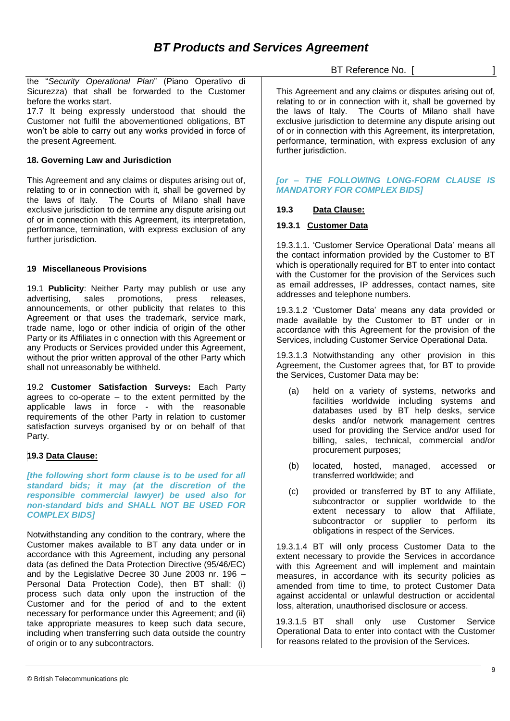the "*Security Operational Plan*" (Piano Operativo di Sicurezza) that shall be forwarded to the Customer before the works start.

17.7 It being expressly understood that should the Customer not fulfil the abovementioned obligations, BT won't be able to carry out any works provided in force of the present Agreement.

## **18. Governing Law and Jurisdiction**

This Agreement and any claims or disputes arising out of, relating to or in connection with it, shall be governed by the laws of Italy. The Courts of Milano shall have exclusive jurisdiction to de termine any dispute arising out of or in connection with this Agreement, its interpretation, performance, termination, with express exclusion of any further jurisdiction.

## **19 Miscellaneous Provisions**

19.1 **Publicity**: Neither Party may publish or use any advertising, sales promotions, press releases, announcements, or other publicity that relates to this Agreement or that uses the trademark, service mark, trade name, logo or other indicia of origin of the other Party or its Affiliates in c onnection with this Agreement or any Products or Services provided under this Agreement, without the prior written approval of the other Party which shall not unreasonably be withheld.

19.2 **Customer Satisfaction Surveys:** Each Party agrees to co-operate  $-$  to the extent permitted by the applicable laws in force - with the reasonable requirements of the other Party in relation to customer satisfaction surveys organised by or on behalf of that Party.

# **19.3 Data Clause:**

*[the following short form clause is to be used for all standard bids; it may (at the discretion of the responsible commercial lawyer) be used also for non-standard bids and SHALL NOT BE USED FOR COMPLEX BIDS]*

Notwithstanding any condition to the contrary, where the Customer makes available to BT any data under or in accordance with this Agreement, including any personal data (as defined the Data Protection Directive (95/46/EC) and by the Legislative Decree 30 June 2003 nr. 196 – Personal Data Protection Code), then BT shall: (i) process such data only upon the instruction of the Customer and for the period of and to the extent necessary for performance under this Agreement; and (ii) take appropriate measures to keep such data secure, including when transferring such data outside the country of origin or to any subcontractors.

BT Reference No. [

This Agreement and any claims or disputes arising out of, relating to or in connection with it, shall be governed by the laws of Italy. The Courts of Milano shall have exclusive jurisdiction to determine any dispute arising out of or in connection with this Agreement, its interpretation, performance, termination, with express exclusion of any further jurisdiction.

## *[or – THE FOLLOWING LONG-FORM CLAUSE IS MANDATORY FOR COMPLEX BIDS]*

## **19.3 Data Clause:**

## **19.3.1 Customer Data**

19.3.1.1. 'Customer Service Operational Data' means all the contact information provided by the Customer to BT which is operationally required for BT to enter into contact with the Customer for the provision of the Services such as email addresses, IP addresses, contact names, site addresses and telephone numbers.

19.3.1.2 'Customer Data' means any data provided or made available by the Customer to BT under or in accordance with this Agreement for the provision of the Services, including Customer Service Operational Data.

19.3.1.3 Notwithstanding any other provision in this Agreement, the Customer agrees that, for BT to provide the Services, Customer Data may be:

- (a) held on a variety of systems, networks and facilities worldwide including systems and databases used by BT help desks, service desks and/or network management centres used for providing the Service and/or used for billing, sales, technical, commercial and/or procurement purposes;
- (b) located, hosted, managed, accessed or transferred worldwide; and
- (c) provided or transferred by BT to any Affiliate, subcontractor or supplier worldwide to the extent necessary to allow that Affiliate, subcontractor or supplier to perform its obligations in respect of the Services.

19.3.1.4 BT will only process Customer Data to the extent necessary to provide the Services in accordance with this Agreement and will implement and maintain measures, in accordance with its security policies as amended from time to time, to protect Customer Data against accidental or unlawful destruction or accidental loss, alteration, unauthorised disclosure or access.

19.3.1.5 BT shall only use Customer Service Operational Data to enter into contact with the Customer for reasons related to the provision of the Services.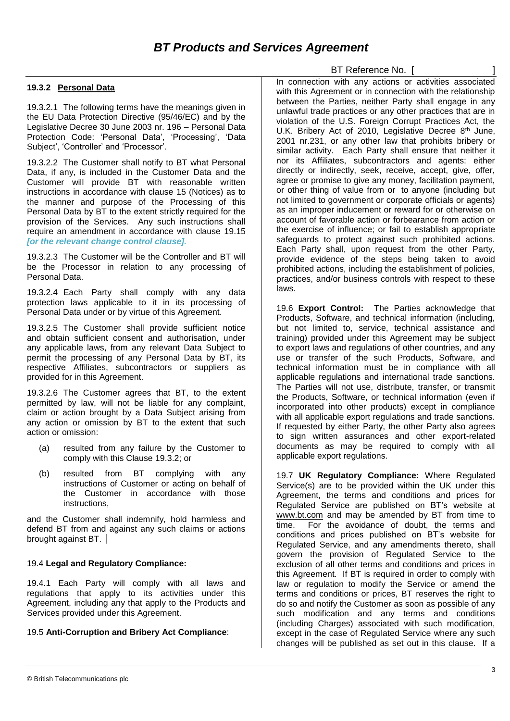## **19.3.2 Personal Data**

19.3.2.1 The following terms have the meanings given in the EU Data Protection Directive (95/46/EC) and by the Legislative Decree 30 June 2003 nr. 196 – Personal Data Protection Code: 'Personal Data', 'Processing', 'Data Subject', 'Controller' and 'Processor'.

19.3.2.2 The Customer shall notify to BT what Personal Data, if any, is included in the Customer Data and the Customer will provide BT with reasonable written instructions in accordance with clause 15 (Notices) as to the manner and purpose of the Processing of this Personal Data by BT to the extent strictly required for the provision of the Services. Any such instructions shall require an amendment in accordance with clause 19.15 *[or the relevant change control clause].*

19.3.2.3 The Customer will be the Controller and BT will be the Processor in relation to any processing of Personal Data.

19.3.2.4 Each Party shall comply with any data protection laws applicable to it in its processing of Personal Data under or by virtue of this Agreement.

19.3.2.5 The Customer shall provide sufficient notice and obtain sufficient consent and authorisation, under any applicable laws, from any relevant Data Subject to permit the processing of any Personal Data by BT, its respective Affiliates, subcontractors or suppliers as provided for in this Agreement.

19.3.2.6 The Customer agrees that BT, to the extent permitted by law, will not be liable for any complaint, claim or action brought by a Data Subject arising from any action or omission by BT to the extent that such action or omission:

- (a) resulted from any failure by the Customer to comply with this Clause 19.3.2; or
- (b) resulted from BT complying with any instructions of Customer or acting on behalf of the Customer in accordance with those instructions,

and the Customer shall indemnify, hold harmless and defend BT from and against any such claims or actions brought against BT.

#### 19.4 **Legal and Regulatory Compliance:**

19.4.1 Each Party will comply with all laws and regulations that apply to its activities under this Agreement, including any that apply to the Products and Services provided under this Agreement.

#### 19.5 **Anti-Corruption and Bribery Act Compliance**:

In connection with any actions or activities associated with this Agreement or in connection with the relationship between the Parties, neither Party shall engage in any unlawful trade practices or any other practices that are in violation of the U.S. Foreign Corrupt Practices Act, the U.K. Bribery Act of 2010, Legislative Decree 8<sup>th</sup> June, 2001 nr.231, or any other law that prohibits bribery or similar activity. Each Party shall ensure that neither it nor its Affiliates, subcontractors and agents: either directly or indirectly, seek, receive, accept, give, offer, agree or promise to give any money, facilitation payment, or other thing of value from or to anyone (including but not limited to government or corporate officials or agents) as an improper inducement or reward for or otherwise on account of favorable action or forbearance from action or the exercise of influence; or fail to establish appropriate safeguards to protect against such prohibited actions. Each Party shall, upon request from the other Party, provide evidence of the steps being taken to avoid prohibited actions, including the establishment of policies, practices, and/or business controls with respect to these laws.

BT Reference No. [

19.6 **Export Control:** The Parties acknowledge that Products, Software, and technical information (including, but not limited to, service, technical assistance and training) provided under this Agreement may be subject to export laws and regulations of other countries, and any use or transfer of the such Products, Software, and technical information must be in compliance with all applicable regulations and international trade sanctions. The Parties will not use, distribute, transfer, or transmit the Products, Software, or technical information (even if incorporated into other products) except in compliance with all applicable export regulations and trade sanctions. If requested by either Party, the other Party also agrees to sign written assurances and other export-related documents as may be required to comply with all applicable export regulations.

19.7 **UK Regulatory Compliance:** Where Regulated Service(s) are to be provided within the UK under this Agreement, the terms and conditions and prices for Regulated Service are published on BT's website at [www.bt.com](http://www.bt.com/) and may be amended by BT from time to time. For the avoidance of doubt, the terms and conditions and prices published on BT's website for Regulated Service, and any amendments thereto, shall govern the provision of Regulated Service to the exclusion of all other terms and conditions and prices in this Agreement. If BT is required in order to comply with law or regulation to modify the Service or amend the terms and conditions or prices, BT reserves the right to do so and notify the Customer as soon as possible of any such modification and any terms and conditions (including Charges) associated with such modification, except in the case of Regulated Service where any such changes will be published as set out in this clause. If a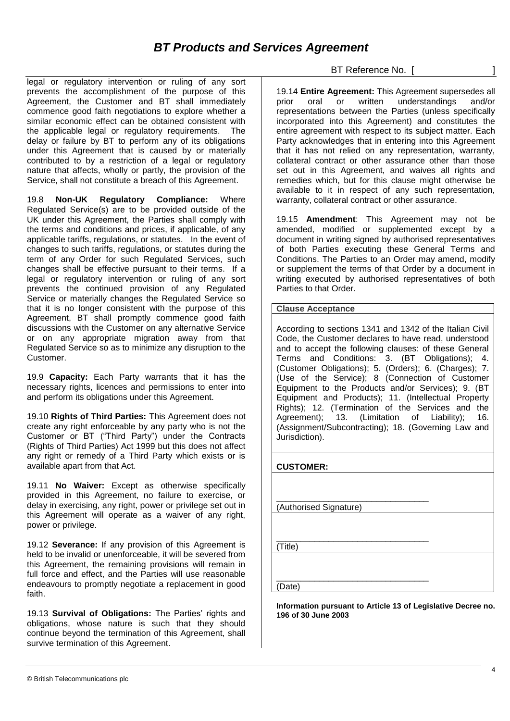legal or regulatory intervention or ruling of any sort prevents the accomplishment of the purpose of this Agreement, the Customer and BT shall immediately commence good faith negotiations to explore whether a similar economic effect can be obtained consistent with the applicable legal or regulatory requirements. The delay or failure by BT to perform any of its obligations under this Agreement that is caused by or materially contributed to by a restriction of a legal or regulatory nature that affects, wholly or partly, the provision of the Service, shall not constitute a breach of this Agreement.

19.8 **Non-UK Regulatory Compliance:** Where Regulated Service(s) are to be provided outside of the UK under this Agreement, the Parties shall comply with the terms and conditions and prices, if applicable, of any applicable tariffs, regulations, or statutes. In the event of changes to such tariffs, regulations, or statutes during the term of any Order for such Regulated Services, such changes shall be effective pursuant to their terms. If a legal or regulatory intervention or ruling of any sort prevents the continued provision of any Regulated Service or materially changes the Regulated Service so that it is no longer consistent with the purpose of this Agreement, BT shall promptly commence good faith discussions with the Customer on any alternative Service or on any appropriate migration away from that Regulated Service so as to minimize any disruption to the Customer.

19.9 **Capacity:** Each Party warrants that it has the necessary rights, licences and permissions to enter into and perform its obligations under this Agreement.

19.10 **Rights of Third Parties:** This Agreement does not create any right enforceable by any party who is not the Customer or BT ("Third Party") under the Contracts (Rights of Third Parties) Act 1999 but this does not affect any right or remedy of a Third Party which exists or is available apart from that Act.

19.11 **No Waiver:** Except as otherwise specifically provided in this Agreement, no failure to exercise, or delay in exercising, any right, power or privilege set out in this Agreement will operate as a waiver of any right, power or privilege.

19.12 **Severance:** If any provision of this Agreement is held to be invalid or unenforceable, it will be severed from this Agreement, the remaining provisions will remain in full force and effect, and the Parties will use reasonable endeavours to promptly negotiate a replacement in good faith.

19.13 **Survival of Obligations:** The Parties' rights and obligations, whose nature is such that they should continue beyond the termination of this Agreement, shall survive termination of this Agreement.

BT Reference No. [

19.14 **Entire Agreement:** This Agreement supersedes all prior oral or written understandings and/or representations between the Parties (unless specifically incorporated into this Agreement) and constitutes the entire agreement with respect to its subject matter. Each Party acknowledges that in entering into this Agreement that it has not relied on any representation, warranty, collateral contract or other assurance other than those set out in this Agreement, and waives all rights and remedies which, but for this clause might otherwise be available to it in respect of any such representation, warranty, collateral contract or other assurance.

19.15 **Amendment**: This Agreement may not be amended, modified or supplemented except by a document in writing signed by authorised representatives of both Parties executing these General Terms and Conditions. The Parties to an Order may amend, modify or supplement the terms of that Order by a document in writing executed by authorised representatives of both Parties to that Order.

**Clause Acceptance**

According to sections 1341 and 1342 of the Italian Civil Code, the Customer declares to have read, understood and to accept the following clauses: of these General Terms and Conditions: 3. (BT Obligations); 4. (Customer Obligations); 5. (Orders); 6. (Charges); 7. (Use of the Service); 8 (Connection of Customer Equipment to the Products and/or Services); 9. (BT Equipment and Products); 11. (Intellectual Property Rights); 12. (Termination of the Services and the Agreement); 13. (Limitation of Liability); 16. (Assignment/Subcontracting); 18. (Governing Law and Jurisdiction).

| <b>CUSTOMER:</b>       |
|------------------------|
|                        |
| (Authorised Signature) |
|                        |
|                        |
| (Title)                |
|                        |
| (Date)                 |

**Information pursuant to Article 13 of Legislative Decree no. 196 of 30 June 2003**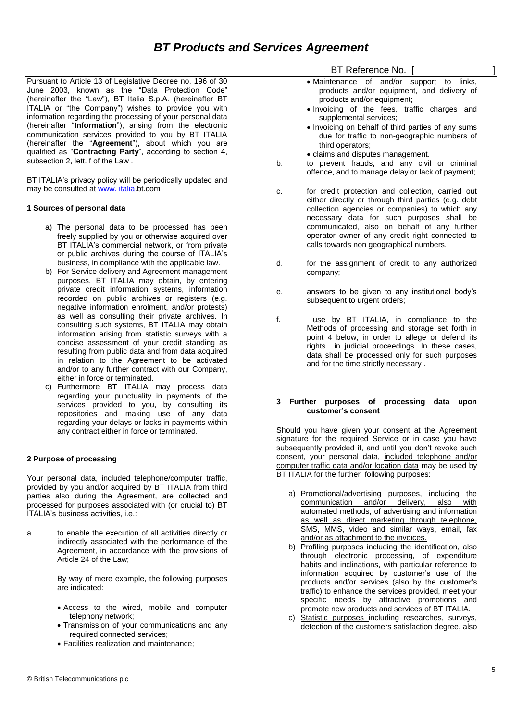# *BT Products and Services Agreement*

Pursuant to Article 13 of Legislative Decree no. 196 of 30 June 2003, known as the "Data Protection Code" (hereinafter the "Law"), BT Italia S.p.A. (hereinafter BT ITALIA or "the Company") wishes to provide you with information regarding the processing of your personal data (hereinafter "**Information**"), arising from the electronic communication services provided to you by BT ITALIA (hereinafter the "**Agreement**"), about which you are qualified as "**Contracting Party**", according to section 4, subsection 2, lett. f of the Law .

BT ITALIA's privacy policy will be periodically updated and may be consulted at [www.](http://www.bt.com/Italia) italia.bt.com

#### **1 Sources of personal data**

- a) The personal data to be processed has been freely supplied by you or otherwise acquired over BT ITALIA's commercial network, or from private or public archives during the course of ITALIA's business, in compliance with the applicable law.
- b) For Service delivery and Agreement management purposes, BT ITALIA may obtain, by entering private credit information systems, information recorded on public archives or registers (e.g. negative information enrolment, and/or protests) as well as consulting their private archives. In consulting such systems, BT ITALIA may obtain information arising from statistic surveys with a concise assessment of your credit standing as resulting from public data and from data acquired in relation to the Agreement to be activated and/or to any further contract with our Company, either in force or terminated.
- c) Furthermore BT ITALIA may process data regarding your punctuality in payments of the services provided to you, by consulting its repositories and making use of any data regarding your delays or lacks in payments within any contract either in force or terminated.

#### **2 Purpose of processing**

Your personal data, included telephone/computer traffic, provided by you and/or acquired by BT ITALIA from third parties also during the Agreement, are collected and processed for purposes associated with (or crucial to) BT ITALIA's business activities, i.e.:

a. to enable the execution of all activities directly or indirectly associated with the performance of the Agreement, in accordance with the provisions of Article 24 of the Law;

> By way of mere example, the following purposes are indicated:

- Access to the wired, mobile and computer telephony network;
- Transmission of your communications and any required connected services;
- Facilities realization and maintenance;

BT Reference No. [ ]

- Maintenance of and/or support to links, products and/or equipment, and delivery of products and/or equipment;
- Invoicing of the fees, traffic charges and supplemental services;
- Invoicing on behalf of third parties of any sums due for traffic to non-geographic numbers of third operators;
- claims and disputes management.
- b. to prevent frauds, and any civil or criminal offence, and to manage delay or lack of payment;
- c. for credit protection and collection, carried out either directly or through third parties (e.g. debt collection agencies or companies) to which any necessary data for such purposes shall be communicated, also on behalf of any further operator owner of any credit right connected to calls towards non geographical numbers.
- d. for the assignment of credit to any authorized company;
- e. answers to be given to any institutional body's subsequent to urgent orders;
- f. use by BT ITALIA, in compliance to the Methods of processing and storage set forth in point 4 below, in order to allege or defend its rights in judicial proceedings. In these cases, data shall be processed only for such purposes and for the time strictly necessary .

#### **3 Further purposes of processing data upon customer's consent**

Should you have given your consent at the Agreement signature for the required Service or in case you have subsequently provided it, and until you don't revoke such consent, your personal data, included telephone and/or computer traffic data and/or location data may be used by BT ITALIA for the further following purposes:

- a) Promotional/advertising purposes, including the communication and/or delivery, also with automated methods, of advertising and information as well as direct marketing through telephone, SMS, MMS, video and similar ways, email, fax and/or as attachment to the invoices.
- b) Profiling purposes including the identification, also through electronic processing, of expenditure habits and inclinations, with particular reference to information acquired by customer's use of the products and/or services (also by the customer's traffic) to enhance the services provided, meet your specific needs by attractive promotions and promote new products and services of BT ITALIA.
- c) Statistic purposes including researches, surveys, detection of the customers satisfaction degree, also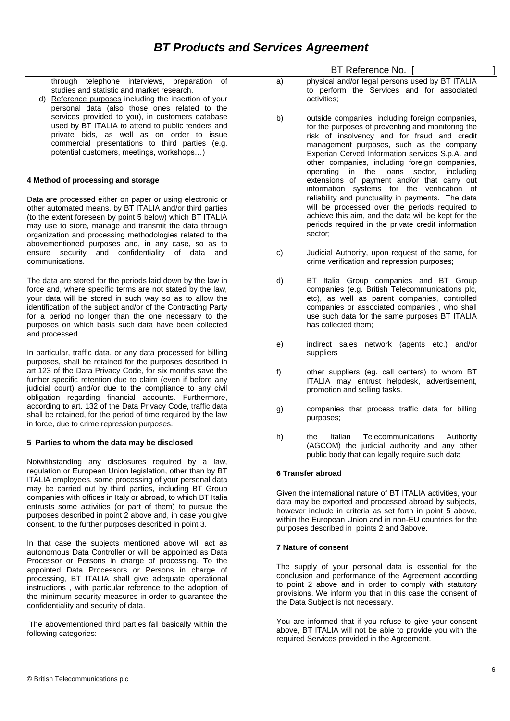through telephone interviews, preparation of studies and statistic and market research.

d) Reference purposes including the insertion of your personal data (also those ones related to the services provided to you), in customers database used by BT ITALIA to attend to public tenders and private bids, as well as on order to issue commercial presentations to third parties (e.g. potential customers, meetings, workshops…)

#### **4 Method of processing and storage**

Data are processed either on paper or using electronic or other automated means, by BT ITALIA and/or third parties (to the extent foreseen by point 5 below) which BT ITALIA may use to store, manage and transmit the data through organization and processing methodologies related to the abovementioned purposes and, in any case, so as to ensure security and confidentiality of data and communications.

The data are stored for the periods laid down by the law in force and, where specific terms are not stated by the law, your data will be stored in such way so as to allow the identification of the subject and/or of the Contracting Party for a period no longer than the one necessary to the purposes on which basis such data have been collected and processed.

In particular, traffic data, or any data processed for billing purposes, shall be retained for the purposes described in art.123 of the Data Privacy Code, for six months save the further specific retention due to claim (even if before any judicial court) and/or due to the compliance to any civil obligation regarding financial accounts. Furthermore, according to art. 132 of the Data Privacy Code, traffic data shall be retained, for the period of time required by the law in force, due to crime repression purposes.

## **5 Parties to whom the data may be disclosed**

Notwithstanding any disclosures required by a law, regulation or European Union legislation, other than by BT ITALIA employees, some processing of your personal data may be carried out by third parties, including BT Group companies with offices in Italy or abroad, to which BT Italia entrusts some activities (or part of them) to pursue the purposes described in point 2 above and, in case you give consent, to the further purposes described in point 3.

In that case the subjects mentioned above will act as autonomous Data Controller or will be appointed as Data Processor or Persons in charge of processing. To the appointed Data Processors or Persons in charge of processing, BT ITALIA shall give adequate operational instructions , with particular reference to the adoption of the minimum security measures in order to guarantee the confidentiality and security of data.

The abovementioned third parties fall basically within the following categories:

BT Reference No. [ ]

- a) physical and/or legal persons used by BT ITALIA to perform the Services and for associated activities;
- b) outside companies, including foreign companies, for the purposes of preventing and monitoring the risk of insolvency and for fraud and credit management purposes, such as the company Experian Cerved Information services S.p.A. and other companies, including foreign companies, operating in the loans sector, including extensions of payment and/or that carry out information systems for the verification of reliability and punctuality in payments. The data will be processed over the periods required to achieve this aim, and the data will be kept for the periods required in the private credit information sector;
- c) Judicial Authority, upon request of the same, for crime verification and repression purposes;
- d) BT Italia Group companies and BT Group companies (e.g. British Telecommunications plc, etc), as well as parent companies, controlled companies or associated companies , who shall use such data for the same purposes BT ITALIA has collected them;
- e) indirect sales network (agents etc.) and/or suppliers
- f) other suppliers (eg. call centers) to whom BT ITALIA may entrust helpdesk, advertisement, promotion and selling tasks.
- g) companies that process traffic data for billing purposes;
- h) the Italian Telecommunications Authority (AGCOM) the judicial authority and any other public body that can legally require such data

#### **6 Transfer abroad**

Given the international nature of BT ITALIA activities, your data may be exported and processed abroad by subjects, however include in criteria as set forth in point 5 above, within the European Union and in non-EU countries for the purposes described in points 2 and 3above.

#### **7 Nature of consent**

The supply of your personal data is essential for the conclusion and performance of the Agreement according to point 2 above and in order to comply with statutory provisions. We inform you that in this case the consent of the Data Subject is not necessary.

You are informed that if you refuse to give your consent above, BT ITALIA will not be able to provide you with the required Services provided in the Agreement.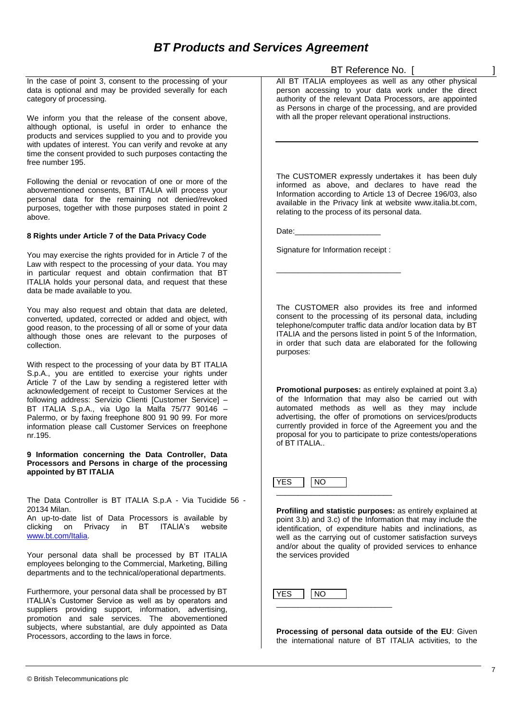In the case of point 3, consent to the processing of your data is optional and may be provided severally for each category of processing.

We inform you that the release of the consent above, although optional, is useful in order to enhance the products and services supplied to you and to provide you with updates of interest. You can verify and revoke at any time the consent provided to such purposes contacting the free number 195.

Following the denial or revocation of one or more of the abovementioned consents, BT ITALIA will process your personal data for the remaining not denied/revoked purposes, together with those purposes stated in point 2 above.

#### **8 Rights under Article 7 of the Data Privacy Code**

You may exercise the rights provided for in Article 7 of the Law with respect to the processing of your data. You may in particular request and obtain confirmation that BT ITALIA holds your personal data, and request that these data be made available to you.

You may also request and obtain that data are deleted, converted, updated, corrected or added and object, with good reason, to the processing of all or some of your data although those ones are relevant to the purposes of collection.

With respect to the processing of your data by BT ITALIA S.p.A., you are entitled to exercise your rights under Article 7 of the Law by sending a registered letter with acknowledgement of receipt to Customer Services at the following address: Servizio Clienti [Customer Service] – BT ITALIA S.p.A., via Ugo la Malfa 75/77 90146 – Palermo, or by faxing freephone 800 91 90 99. For more information please call Customer Services on freephone nr.195.

**9 Information concerning the Data Controller, Data Processors and Persons in charge of the processing appointed by BT ITALIA**

The Data Controller is BT ITALIA S.p.A - Via Tucidide 56 - 20134 Milan.

An up-to-date list of Data Processors is available by clicking on Privacy in BT ITALIA's website [www.bt.com/Italia.](http://www.bt.com/Italia)

Your personal data shall be processed by BT ITALIA employees belonging to the Commercial, Marketing, Billing departments and to the technical/operational departments.

Furthermore, your personal data shall be processed by BT ITALIA's Customer Service as well as by operators and suppliers providing support, information, advertising, promotion and sale services. The abovementioned subjects, where substantial, are duly appointed as Data Processors, according to the laws in force.

BT Reference No. [ ]

All BT ITALIA employees as well as any other physical person accessing to your data work under the direct authority of the relevant Data Processors, are appointed as Persons in charge of the processing, and are provided with all the proper relevant operational instructions.

The CUSTOMER expressly undertakes it has been duly informed as above, and declares to have read the Information according to Article 13 of Decree 196/03, also available in the Privacy link at website www.italia.bt.com, relating to the process of its personal data.

Date:

Signature for Information receipt :

\_\_\_\_\_\_\_\_\_\_\_\_\_\_\_\_\_\_\_\_\_\_\_\_\_\_\_\_\_

The CUSTOMER also provides its free and informed consent to the processing of its personal data, including telephone/computer traffic data and/or location data by BT ITALIA and the persons listed in point 5 of the Information, in order that such data are elaborated for the following purposes:

**Promotional purposes:** as entirely explained at point 3.a) of the Information that may also be carried out with automated methods as well as they may include advertising, the offer of promotions on services/products currently provided in force of the Agreement you and the proposal for you to participate to prize contests/operations of BT ITALIA..

 $YES$  NO \_\_\_\_\_\_\_\_\_\_\_\_\_\_\_\_\_\_\_\_\_\_\_\_\_\_\_ **Date:**

**Profiling and statistic purposes:** as entirely explained at point 3.b) and 3.c) of the Information that may include the identification, of expenditure habits and inclinations, as well as the carrying out of customer satisfaction surveys and/or about the quality of provided services to enhance the services provided

YES | NO \_\_\_\_\_\_\_\_\_\_\_\_\_\_\_\_\_\_\_\_\_\_\_\_\_\_\_

**Processing of personal data outside of the EU**: Given the international nature of BT ITALIA activities, to the